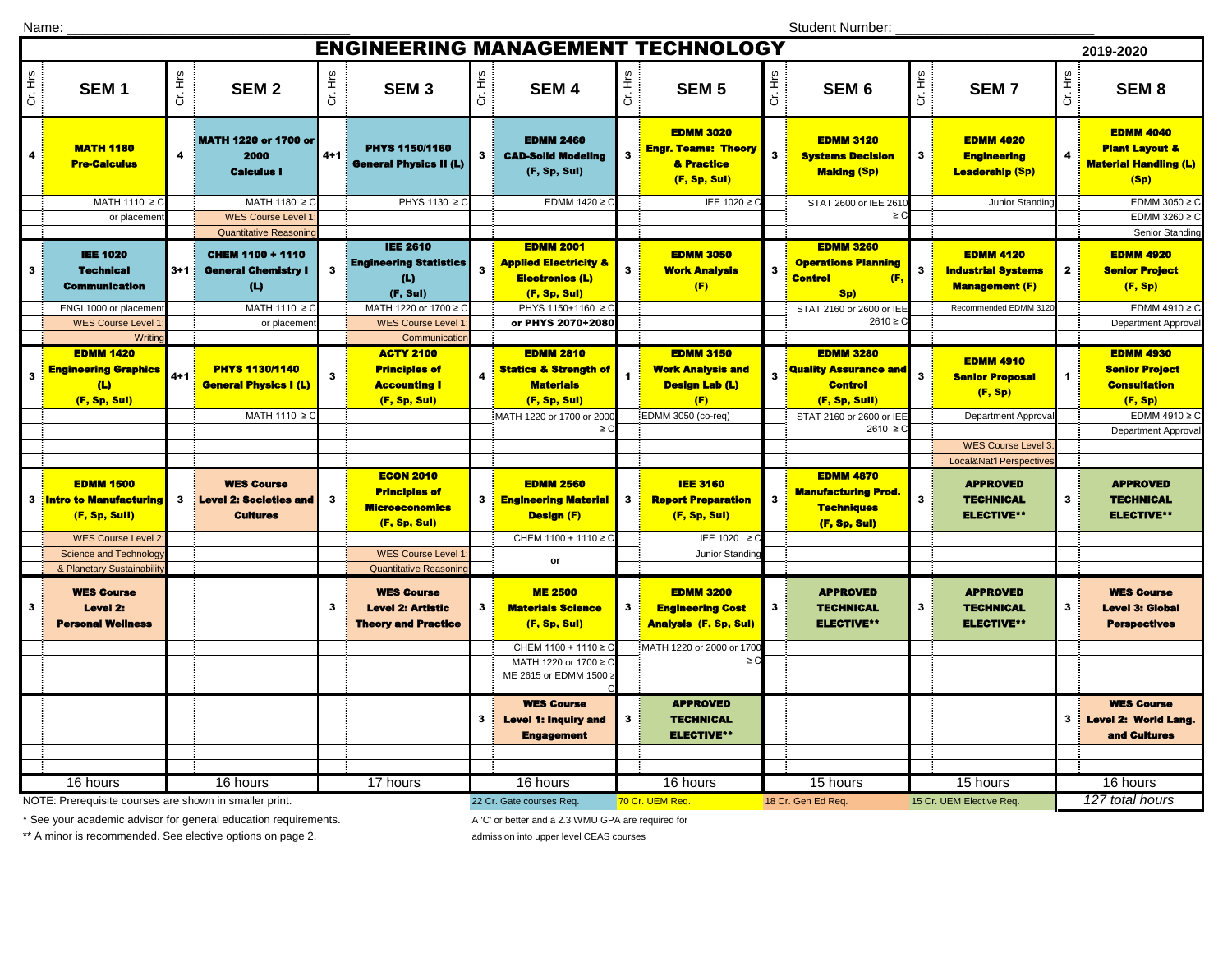Name:

Student Number:

| <b>ENGINEERING MANAGEMENT TECHNOLOGY</b><br>2019-2020  |                                                                                        |         |                                                                                        |         |                                                                                                             |                          |                                                                                                |              |                                                                              |              |                                                                                      |                          |                                                                        |                      |                                                                                       |
|--------------------------------------------------------|----------------------------------------------------------------------------------------|---------|----------------------------------------------------------------------------------------|---------|-------------------------------------------------------------------------------------------------------------|--------------------------|------------------------------------------------------------------------------------------------|--------------|------------------------------------------------------------------------------|--------------|--------------------------------------------------------------------------------------|--------------------------|------------------------------------------------------------------------|----------------------|---------------------------------------------------------------------------------------|
| Cr. Hrs                                                | SEM <sub>1</sub>                                                                       | Cr. Hrs | <b>SEM2</b>                                                                            | Cr. Hrs | SEM <sub>3</sub>                                                                                            | Cr. Hrs                  | <b>SEM4</b>                                                                                    | Cr. Hrs      | <b>SEM 5</b>                                                                 | Cr. Hrs      | SEM <sub>6</sub>                                                                     | Cr. Hrs                  | <b>SEM7</b>                                                            | Cr. Hrs              | <b>SEM8</b>                                                                           |
| 4                                                      | <b>MATH 1180</b><br><b>Pre-Calculus</b>                                                | 4       | <b>MATH 1220 or 1700 or</b><br>2000<br><b>Calculus I</b>                               | $4 + 1$ | <b>PHYS 1150/1160</b><br><b>General Physics II (L)</b>                                                      | $\mathbf{3}$             | <b>EDMM 2460</b><br><b>CAD-Solid Modeling</b><br>(F, Sp, Sul)                                  | $\mathbf{3}$ | <b>EDMM 3020</b><br><b>Engr. Teams: Theory</b><br>& Practice<br>(F, Sp, Sul) | 3            | <b>EDMM 3120</b><br><b>Systems Decision</b><br><b>Making (Sp)</b>                    | 3                        | <b>EDMM 4020</b><br><b>Engineering</b><br><b>Leadership (Sp)</b>       | 4                    | <b>EDMM 4040</b><br><b>Plant Layout &amp;</b><br><b>Material Handling (L)</b><br>(Sp) |
|                                                        | MATH 1110 ≥ C                                                                          |         | MATH 1180 ≥ C                                                                          |         | PHYS 1130 ≥ C                                                                                               |                          | EDMM 1420 ≥ 0                                                                                  |              | IEE 1020 ≥ C                                                                 |              | STAT 2600 or IEE 261                                                                 |                          | Junior Standing                                                        |                      | EDMM 3050 $\geq$ C                                                                    |
|                                                        | or placemen                                                                            |         | WES Course Level                                                                       |         |                                                                                                             |                          |                                                                                                |              |                                                                              |              | $\geq C$                                                                             |                          |                                                                        |                      | EDMM 3260 $\geq$ C                                                                    |
| $\mathbf{3}$                                           | <b>IEE 1020</b><br><b>Technical</b><br><b>Communication</b>                            | $3+1$   | Quantitative Reasoning<br><b>CHEM 1100 + 1110</b><br><b>General Chemistry I</b><br>(L) | 3       | <b>IEE 2610</b><br><b>Engineering Statistics</b><br>(L)<br>(F, Sul)                                         | $\mathbf{3}$             | <b>EDMM 2001</b><br><b>Applied Electricity &amp;</b><br><b>Electronics (L)</b><br>(F, Sp, Sul) | $\mathbf{3}$ | <b>EDMM 3050</b><br><b>Work Analysis</b><br>(F)                              | $\mathbf{3}$ | <b>EDMM 3260</b><br><b>Operations Planning</b><br>(F,<br><b>Control</b><br>Sp)       | 3                        | <b>EDMM 4120</b><br><b>Industrial Systems</b><br><b>Management (F)</b> | $\mathbf{2}$         | Senior Standing<br><b>EDMM 4920</b><br><b>Senior Project</b><br>(F, Sp)               |
|                                                        | ENGL1000 or placemen                                                                   |         | MATH 1110 ≥ C                                                                          |         | MATH 1220 or 1700 ≥ C                                                                                       |                          | PHYS 1150+1160 ≥ C                                                                             |              |                                                                              |              | STAT 2160 or 2600 or IEE                                                             |                          | Recommended EDMM 312                                                   |                      | EDMM 4910 $\geq$ C                                                                    |
|                                                        | WES Course Level                                                                       |         | or placemer                                                                            |         | <b>WES Course Level</b>                                                                                     |                          | or PHYS 2070+2080                                                                              |              |                                                                              |              | $2610 \ge C$                                                                         |                          |                                                                        |                      | <b>Department Approval</b>                                                            |
| 3                                                      | Writino<br><b>EDMM 1420</b><br><b>Engineering Graphics</b><br>(L)<br>(F, Sp, Sul)      | $4 + 1$ | <b>PHYS 1130/1140</b><br><b>General Physics I (L)</b>                                  | 3       | Communicatio<br><b>ACTY 2100</b><br><b>Principles of</b><br><b>Accounting I</b><br>(F, Sp, Sul)             | 4                        | <b>EDMM 2810</b><br><b>Statics &amp; Strength of</b><br><b>Materials</b><br>(F, Sp, Sul)       | $\mathbf{1}$ | <b>EDMM 3150</b><br>Work Analysis and<br><b>Design Lab (L)</b><br>(F)        | 3            | <b>EDMM 3280</b><br><b>Quality Assurance and</b><br><b>Control</b><br>(F, Sp, Sull)  | $\mathbf{3}$             | <b>EDMM 4910</b><br><b>Senior Proposal</b><br>(F, Sp)                  | $\blacktriangleleft$ | <b>EDMM 4930</b><br><b>Senior Project</b><br><b>Consultation</b><br>(F, Sp)           |
|                                                        |                                                                                        |         | MATH 1110 ≥ C                                                                          |         |                                                                                                             |                          | MATH 1220 or 1700 or 2000                                                                      |              | EDMM 3050 (co-req)                                                           |              | STAT 2160 or 2600 or IEE                                                             |                          | Department Approva                                                     |                      | EDMM 4910 $\geq$ C                                                                    |
|                                                        |                                                                                        |         |                                                                                        |         |                                                                                                             |                          | ≥C                                                                                             |              |                                                                              |              | $2610 \ge C$                                                                         |                          |                                                                        |                      | <b>Department Approval</b>                                                            |
|                                                        |                                                                                        |         |                                                                                        |         |                                                                                                             |                          |                                                                                                |              |                                                                              |              |                                                                                      |                          | <b>WES Course Level 3</b>                                              |                      |                                                                                       |
|                                                        |                                                                                        |         |                                                                                        |         |                                                                                                             |                          |                                                                                                |              |                                                                              |              |                                                                                      |                          | Local&Nat'l Perspectives                                               |                      |                                                                                       |
|                                                        | <b>EDMM 1500</b><br><b>3</b> Intro to Manufacturing<br>(F, Sp, Sull)                   | 3       | <b>WES Course</b><br><b>Level 2: Societies and</b><br><b>Cultures</b>                  | 3       | <b>ECON 2010</b><br><b>Principles of</b><br><b>Microeconomics</b><br>(F, Sp, Sul)                           | 3                        | <b>EDMM 2560</b><br><b>Engineering Material</b><br><b>Design (F)</b>                           | $\mathbf{3}$ | <b>IEE 3160</b><br><b>Report Preparation</b><br>(F, Sp, Sul)                 | $\mathbf{3}$ | <b>EDMM 4870</b><br><u> Manufacturing Prod.</u><br><b>Techniques</b><br>(F, Sp, Sul) | 3                        | <b>APPROVED</b><br><b>TECHNICAL</b><br><b>ELECTIVE**</b>               | 3                    | <b>APPROVED</b><br><b>TECHNICAL</b><br><b>ELECTIVE**</b>                              |
|                                                        | <b>WES Course Level 2</b>                                                              |         |                                                                                        |         |                                                                                                             |                          | CHEM 1100 + 1110 ≥ 0                                                                           |              | IEE 1020 $\geq$ C                                                            |              |                                                                                      |                          |                                                                        |                      |                                                                                       |
|                                                        | <b>Science and Technology</b>                                                          |         |                                                                                        |         | <b>WES Course Level</b>                                                                                     |                          | or                                                                                             |              | Junior Standing                                                              |              |                                                                                      |                          |                                                                        |                      |                                                                                       |
| $\mathbf{3}$                                           | & Planetary Sustainabilit<br><b>WES Course</b><br>Level 2:<br><b>Personal Wellness</b> |         |                                                                                        | 3       | <b>Quantitative Reasonin</b><br><b>WES Course</b><br><b>Level 2: Artistic</b><br><b>Theory and Practice</b> | 3                        | <b>ME 2500</b><br><b>Materials Science</b><br>(F, Sp, Sul)                                     | 3            | <b>EDMM 3200</b><br><b>Engineering Cost</b><br><b>Analysis (F, Sp, Sul)</b>  | $\mathbf{3}$ | <b>APPROVED</b><br><b>TECHNICAL</b><br><b>ELECTIVE**</b>                             | 3                        | <b>APPROVED</b><br><b>TECHNICAL</b><br><b>ELECTIVE**</b>               | 3                    | <b>WES Course</b><br><b>Level 3: Global</b><br><b>Perspectives</b>                    |
|                                                        |                                                                                        |         |                                                                                        |         |                                                                                                             |                          | CHEM 1100 + 1110 ≥ C                                                                           |              | MATH 1220 or 2000 or 1700                                                    |              |                                                                                      |                          |                                                                        |                      |                                                                                       |
|                                                        |                                                                                        |         |                                                                                        |         |                                                                                                             |                          | MATH 1220 or 1700 ≥ 0<br>ME 2615 or EDMM 1500                                                  |              | $\geq$ C                                                                     |              |                                                                                      |                          |                                                                        |                      |                                                                                       |
|                                                        |                                                                                        |         |                                                                                        |         |                                                                                                             |                          |                                                                                                |              |                                                                              |              |                                                                                      |                          |                                                                        |                      |                                                                                       |
|                                                        |                                                                                        |         |                                                                                        |         |                                                                                                             | 3                        | <b>WES Course</b><br><b>Level 1: Inquiry and</b><br><b>Engagement</b>                          | $\mathbf{3}$ | <b>APPROVED</b><br><b>TECHNICAL</b><br><b>ELECTIVE**</b>                     |              |                                                                                      |                          |                                                                        | 3                    | <b>WES Course</b><br><b>Level 2: World Lang.</b><br>and Cultures                      |
|                                                        | 16 hours                                                                               |         | 16 hours                                                                               |         | 17 hours                                                                                                    |                          | 16 hours                                                                                       |              | 16 hours                                                                     |              | 15 hours                                                                             |                          | 15 hours                                                               |                      | 16 hours                                                                              |
| NOTE: Prerequisite courses are shown in smaller print. |                                                                                        |         |                                                                                        |         |                                                                                                             | 22 Cr. Gate courses Req. |                                                                                                |              | 70 Cr. UEM Req.                                                              |              | 18 Cr. Gen Ed Req.                                                                   | 15 Cr. UEM Elective Req. |                                                                        |                      | 127 total hours                                                                       |

\* See your academic advisor for general education requirements. A 'C' or better and a 2.3 WMU GPA are required for

\*\* A minor is recommended. See elective options on page 2. <br>admission into upper level CEAS courses